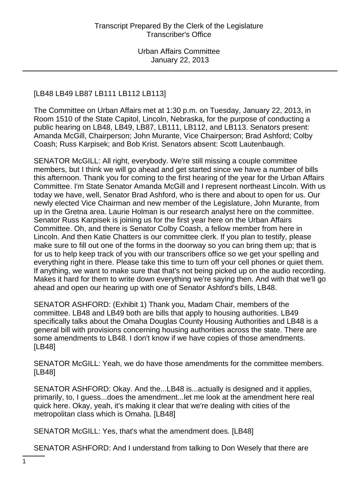# [LB48 LB49 LB87 LB111 LB112 LB113]

The Committee on Urban Affairs met at 1:30 p.m. on Tuesday, January 22, 2013, in Room 1510 of the State Capitol, Lincoln, Nebraska, for the purpose of conducting a public hearing on LB48, LB49, LB87, LB111, LB112, and LB113. Senators present: Amanda McGill, Chairperson; John Murante, Vice Chairperson; Brad Ashford; Colby Coash; Russ Karpisek; and Bob Krist. Senators absent: Scott Lautenbaugh.

SENATOR McGILL: All right, everybody. We're still missing a couple committee members, but I think we will go ahead and get started since we have a number of bills this afternoon. Thank you for coming to the first hearing of the year for the Urban Affairs Committee. I'm State Senator Amanda McGill and I represent northeast Lincoln. With us today we have, well, Senator Brad Ashford, who is there and about to open for us. Our newly elected Vice Chairman and new member of the Legislature, John Murante, from up in the Gretna area. Laurie Holman is our research analyst here on the committee. Senator Russ Karpisek is joining us for the first year here on the Urban Affairs Committee. Oh, and there is Senator Colby Coash, a fellow member from here in Lincoln. And then Katie Chatters is our committee clerk. If you plan to testify, please make sure to fill out one of the forms in the doorway so you can bring them up; that is for us to help keep track of you with our transcribers office so we get your spelling and everything right in there. Please take this time to turn off your cell phones or quiet them. If anything, we want to make sure that that's not being picked up on the audio recording. Makes it hard for them to write down everything we're saying then. And with that we'll go ahead and open our hearing up with one of Senator Ashford's bills, LB48.

SENATOR ASHFORD: (Exhibit 1) Thank you, Madam Chair, members of the committee. LB48 and LB49 both are bills that apply to housing authorities. LB49 specifically talks about the Omaha Douglas County Housing Authorities and LB48 is a general bill with provisions concerning housing authorities across the state. There are some amendments to LB48. I don't know if we have copies of those amendments. [LB48]

SENATOR McGILL: Yeah, we do have those amendments for the committee members. [LB48]

SENATOR ASHFORD: Okay. And the...LB48 is...actually is designed and it applies, primarily, to, I guess...does the amendment...let me look at the amendment here real quick here. Okay, yeah, it's making it clear that we're dealing with cities of the metropolitan class which is Omaha. [LB48]

SENATOR McGILL: Yes, that's what the amendment does. [LB48]

SENATOR ASHFORD: And I understand from talking to Don Wesely that there are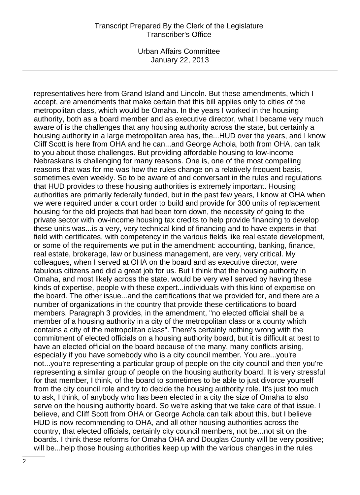Urban Affairs Committee January 22, 2013

representatives here from Grand Island and Lincoln. But these amendments, which I accept, are amendments that make certain that this bill applies only to cities of the metropolitan class, which would be Omaha. In the years I worked in the housing authority, both as a board member and as executive director, what I became very much aware of is the challenges that any housing authority across the state, but certainly a housing authority in a large metropolitan area has, the...HUD over the years, and I know Cliff Scott is here from OHA and he can...and George Achola, both from OHA, can talk to you about those challenges. But providing affordable housing to low-income Nebraskans is challenging for many reasons. One is, one of the most compelling reasons that was for me was how the rules change on a relatively frequent basis, sometimes even weekly. So to be aware of and conversant in the rules and regulations that HUD provides to these housing authorities is extremely important. Housing authorities are primarily federally funded, but in the past few years, I know at OHA when we were required under a court order to build and provide for 300 units of replacement housing for the old projects that had been torn down, the necessity of going to the private sector with low-income housing tax credits to help provide financing to develop these units was...is a very, very technical kind of financing and to have experts in that field with certificates, with competency in the various fields like real estate development, or some of the requirements we put in the amendment: accounting, banking, finance, real estate, brokerage, law or business management, are very, very critical. My colleagues, when I served at OHA on the board and as executive director, were fabulous citizens and did a great job for us. But I think that the housing authority in Omaha, and most likely across the state, would be very well served by having these kinds of expertise, people with these expert...individuals with this kind of expertise on the board. The other issue...and the certifications that we provided for, and there are a number of organizations in the country that provide these certifications to board members. Paragraph 3 provides, in the amendment, "no elected official shall be a member of a housing authority in a city of the metropolitan class or a county which contains a city of the metropolitan class". There's certainly nothing wrong with the commitment of elected officials on a housing authority board, but it is difficult at best to have an elected official on the board because of the many, many conflicts arising, especially if you have somebody who is a city council member. You are...you're not...you're representing a particular group of people on the city council and then you're representing a similar group of people on the housing authority board. It is very stressful for that member, I think, of the board to sometimes to be able to just divorce yourself from the city council role and try to decide the housing authority role. It's just too much to ask, I think, of anybody who has been elected in a city the size of Omaha to also serve on the housing authority board. So we're asking that we take care of that issue. I believe, and Cliff Scott from OHA or George Achola can talk about this, but I believe HUD is now recommending to OHA, and all other housing authorities across the country, that elected officials, certainly city council members, not be...not sit on the boards. I think these reforms for Omaha OHA and Douglas County will be very positive; will be...help those housing authorities keep up with the various changes in the rules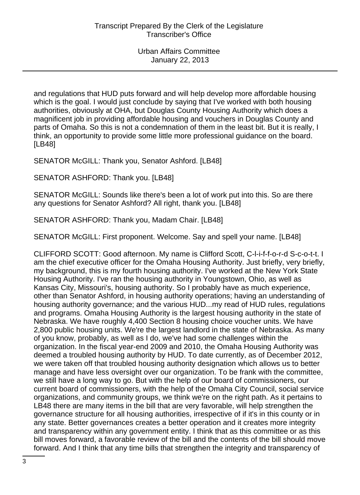and regulations that HUD puts forward and will help develop more affordable housing which is the goal. I would just conclude by saying that I've worked with both housing authorities, obviously at OHA, but Douglas County Housing Authority which does a magnificent job in providing affordable housing and vouchers in Douglas County and parts of Omaha. So this is not a condemnation of them in the least bit. But it is really, I think, an opportunity to provide some little more professional guidance on the board. [LB48]

SENATOR McGILL: Thank you, Senator Ashford. [LB48]

SENATOR ASHFORD: Thank you. [LB48]

SENATOR McGILL: Sounds like there's been a lot of work put into this. So are there any questions for Senator Ashford? All right, thank you. [LB48]

SENATOR ASHFORD: Thank you, Madam Chair. [LB48]

SENATOR McGILL: First proponent. Welcome. Say and spell your name. [LB48]

CLIFFORD SCOTT: Good afternoon. My name is Clifford Scott, C-l-i-f-f-o-r-d S-c-o-t-t. I am the chief executive officer for the Omaha Housing Authority. Just briefly, very briefly, my background, this is my fourth housing authority. I've worked at the New York State Housing Authority. I've ran the housing authority in Youngstown, Ohio, as well as Kansas City, Missouri's, housing authority. So I probably have as much experience, other than Senator Ashford, in housing authority operations; having an understanding of housing authority governance; and the various HUD...my read of HUD rules, regulations and programs. Omaha Housing Authority is the largest housing authority in the state of Nebraska. We have roughly 4,400 Section 8 housing choice voucher units. We have 2,800 public housing units. We're the largest landlord in the state of Nebraska. As many of you know, probably, as well as I do, we've had some challenges within the organization. In the fiscal year-end 2009 and 2010, the Omaha Housing Authority was deemed a troubled housing authority by HUD. To date currently, as of December 2012, we were taken off that troubled housing authority designation which allows us to better manage and have less oversight over our organization. To be frank with the committee, we still have a long way to go. But with the help of our board of commissioners, our current board of commissioners, with the help of the Omaha City Council, social service organizations, and community groups, we think we're on the right path. As it pertains to LB48 there are many items in the bill that are very favorable, will help strengthen the governance structure for all housing authorities, irrespective of if it's in this county or in any state. Better governances creates a better operation and it creates more integrity and transparency within any government entity. I think that as this committee or as this bill moves forward, a favorable review of the bill and the contents of the bill should move forward. And I think that any time bills that strengthen the integrity and transparency of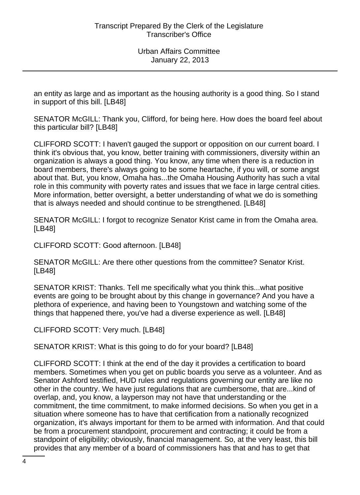an entity as large and as important as the housing authority is a good thing. So I stand in support of this bill. [LB48]

SENATOR McGILL: Thank you, Clifford, for being here. How does the board feel about this particular bill? [LB48]

CLIFFORD SCOTT: I haven't gauged the support or opposition on our current board. I think it's obvious that, you know, better training with commissioners, diversity within an organization is always a good thing. You know, any time when there is a reduction in board members, there's always going to be some heartache, if you will, or some angst about that. But, you know, Omaha has...the Omaha Housing Authority has such a vital role in this community with poverty rates and issues that we face in large central cities. More information, better oversight, a better understanding of what we do is something that is always needed and should continue to be strengthened. [LB48]

SENATOR McGILL: I forgot to recognize Senator Krist came in from the Omaha area. [LB48]

CLIFFORD SCOTT: Good afternoon. [LB48]

SENATOR McGILL: Are there other questions from the committee? Senator Krist. [LB48]

SENATOR KRIST: Thanks. Tell me specifically what you think this...what positive events are going to be brought about by this change in governance? And you have a plethora of experience, and having been to Youngstown and watching some of the things that happened there, you've had a diverse experience as well. [LB48]

CLIFFORD SCOTT: Very much. [LB48]

SENATOR KRIST: What is this going to do for your board? [LB48]

CLIFFORD SCOTT: I think at the end of the day it provides a certification to board members. Sometimes when you get on public boards you serve as a volunteer. And as Senator Ashford testified, HUD rules and regulations governing our entity are like no other in the country. We have just regulations that are cumbersome, that are...kind of overlap, and, you know, a layperson may not have that understanding or the commitment, the time commitment, to make informed decisions. So when you get in a situation where someone has to have that certification from a nationally recognized organization, it's always important for them to be armed with information. And that could be from a procurement standpoint, procurement and contracting; it could be from a standpoint of eligibility; obviously, financial management. So, at the very least, this bill provides that any member of a board of commissioners has that and has to get that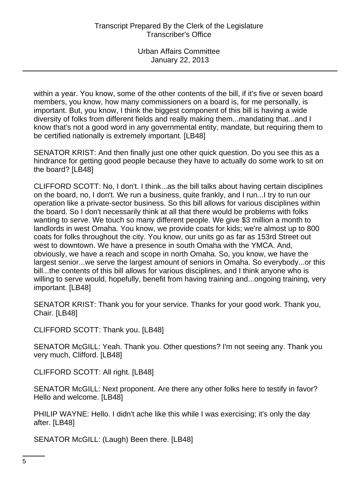within a year. You know, some of the other contents of the bill, if it's five or seven board members, you know, how many commissioners on a board is, for me personally, is important. But, you know, I think the biggest component of this bill is having a wide diversity of folks from different fields and really making them...mandating that...and I know that's not a good word in any governmental entity, mandate, but requiring them to be certified nationally is extremely important. [LB48]

SENATOR KRIST: And then finally just one other quick question. Do you see this as a hindrance for getting good people because they have to actually do some work to sit on the board? [LB48]

CLIFFORD SCOTT: No, I don't. I think...as the bill talks about having certain disciplines on the board, no, I don't. We run a business, quite frankly, and I run...I try to run our operation like a private-sector business. So this bill allows for various disciplines within the board. So I don't necessarily think at all that there would be problems with folks wanting to serve. We touch so many different people. We give \$3 million a month to landlords in west Omaha. You know, we provide coats for kids; we're almost up to 800 coats for folks throughout the city. You know, our units go as far as 153rd Street out west to downtown. We have a presence in south Omaha with the YMCA. And, obviously, we have a reach and scope in north Omaha. So, you know, we have the largest senior...we serve the largest amount of seniors in Omaha. So everybody...or this bill...the contents of this bill allows for various disciplines, and I think anyone who is willing to serve would, hopefully, benefit from having training and...ongoing training, very important. [LB48]

SENATOR KRIST: Thank you for your service. Thanks for your good work. Thank you, Chair. [LB48]

CLIFFORD SCOTT: Thank you. [LB48]

SENATOR McGILL: Yeah. Thank you. Other questions? I'm not seeing any. Thank you very much, Clifford. [LB48]

CLIFFORD SCOTT: All right. [LB48]

SENATOR McGILL: Next proponent. Are there any other folks here to testify in favor? Hello and welcome. [LB48]

PHILIP WAYNE: Hello. I didn't ache like this while I was exercising; it's only the day after. [LB48]

SENATOR McGILL: (Laugh) Been there. [LB48]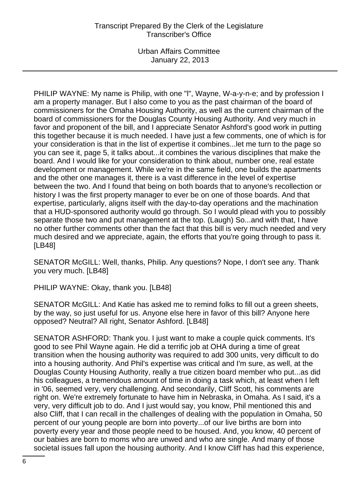Urban Affairs Committee January 22, 2013

PHILIP WAYNE: My name is Philip, with one "l", Wayne, W-a-y-n-e; and by profession I am a property manager. But I also come to you as the past chairman of the board of commissioners for the Omaha Housing Authority, as well as the current chairman of the board of commissioners for the Douglas County Housing Authority. And very much in favor and proponent of the bill, and I appreciate Senator Ashford's good work in putting this together because it is much needed. I have just a few comments, one of which is for your consideration is that in the list of expertise it combines...let me turn to the page so you can see it, page 5, it talks about...it combines the various disciplines that make the board. And I would like for your consideration to think about, number one, real estate development or management. While we're in the same field, one builds the apartments and the other one manages it, there is a vast difference in the level of expertise between the two. And I found that being on both boards that to anyone's recollection or history I was the first property manager to ever be on one of those boards. And that expertise, particularly, aligns itself with the day-to-day operations and the machination that a HUD-sponsored authority would go through. So I would plead with you to possibly separate those two and put management at the top. (Laugh) So...and with that, I have no other further comments other than the fact that this bill is very much needed and very much desired and we appreciate, again, the efforts that you're going through to pass it. [LB48]

SENATOR McGILL: Well, thanks, Philip. Any questions? Nope, I don't see any. Thank you very much. [LB48]

PHILIP WAYNE: Okay, thank you. [LB48]

SENATOR McGILL: And Katie has asked me to remind folks to fill out a green sheets, by the way, so just useful for us. Anyone else here in favor of this bill? Anyone here opposed? Neutral? All right, Senator Ashford. [LB48]

SENATOR ASHFORD: Thank you. I just want to make a couple quick comments. It's good to see Phil Wayne again. He did a terrific job at OHA during a time of great transition when the housing authority was required to add 300 units, very difficult to do into a housing authority. And Phil's expertise was critical and I'm sure, as well, at the Douglas County Housing Authority, really a true citizen board member who put...as did his colleagues, a tremendous amount of time in doing a task which, at least when I left in '06, seemed very, very challenging. And secondarily, Cliff Scott, his comments are right on. We're extremely fortunate to have him in Nebraska, in Omaha. As I said, it's a very, very difficult job to do. And I just would say, you know, Phil mentioned this and also Cliff, that I can recall in the challenges of dealing with the population in Omaha, 50 percent of our young people are born into poverty...of our live births are born into poverty every year and those people need to be housed. And, you know, 40 percent of our babies are born to moms who are unwed and who are single. And many of those societal issues fall upon the housing authority. And I know Cliff has had this experience,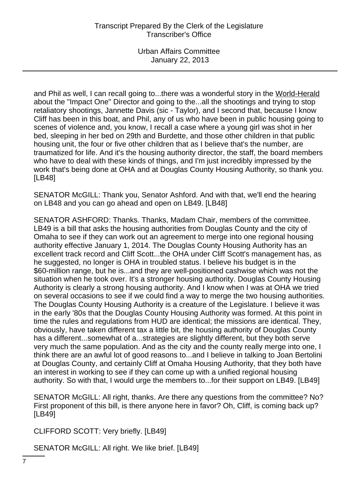and Phil as well, I can recall going to...there was a wonderful story in the World-Herald about the "Impact One" Director and going to the...all the shootings and trying to stop retaliatory shootings, Jannette Davis (sic - Taylor), and I second that, because I know Cliff has been in this boat, and Phil, any of us who have been in public housing going to scenes of violence and, you know, I recall a case where a young girl was shot in her bed, sleeping in her bed on 29th and Burdette, and those other children in that public housing unit, the four or five other children that as I believe that's the number, are traumatized for life. And it's the housing authority director, the staff, the board members who have to deal with these kinds of things, and I'm just incredibly impressed by the work that's being done at OHA and at Douglas County Housing Authority, so thank you. [LB48]

SENATOR McGILL: Thank you, Senator Ashford. And with that, we'll end the hearing on LB48 and you can go ahead and open on LB49. [LB48]

SENATOR ASHFORD: Thanks. Thanks, Madam Chair, members of the committee. LB49 is a bill that asks the housing authorities from Douglas County and the city of Omaha to see if they can work out an agreement to merge into one regional housing authority effective January 1, 2014. The Douglas County Housing Authority has an excellent track record and Cliff Scott...the OHA under Cliff Scott's management has, as he suggested, no longer is OHA in troubled status. I believe his budget is in the \$60-million range, but he is...and they are well-positioned cashwise which was not the situation when he took over. It's a stronger housing authority. Douglas County Housing Authority is clearly a strong housing authority. And I know when I was at OHA we tried on several occasions to see if we could find a way to merge the two housing authorities. The Douglas County Housing Authority is a creature of the Legislature. I believe it was in the early '80s that the Douglas County Housing Authority was formed. At this point in time the rules and regulations from HUD are identical; the missions are identical. They, obviously, have taken different tax a little bit, the housing authority of Douglas County has a different...somewhat of a...strategies are slightly different, but they both serve very much the same population. And as the city and the county really merge into one, I think there are an awful lot of good reasons to...and I believe in talking to Joan Bertolini at Douglas County, and certainly Cliff at Omaha Housing Authority, that they both have an interest in working to see if they can come up with a unified regional housing authority. So with that, I would urge the members to...for their support on LB49. [LB49]

SENATOR McGILL: All right, thanks. Are there any questions from the committee? No? First proponent of this bill, is there anyone here in favor? Oh, Cliff, is coming back up? [LB49]

CLIFFORD SCOTT: Very briefly. [LB49]

SENATOR McGILL: All right. We like brief. [LB49]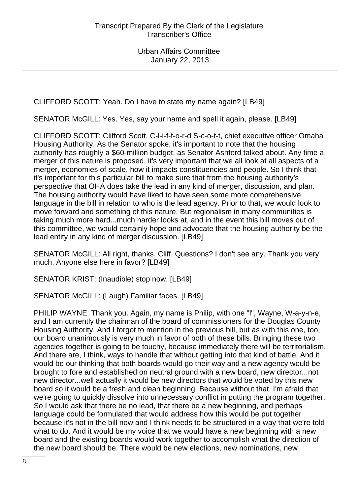CLIFFORD SCOTT: Yeah. Do I have to state my name again? [LB49]

SENATOR McGILL: Yes. Yes, say your name and spell it again, please. [LB49]

CLIFFORD SCOTT: Clifford Scott, C-l-i-f-f-o-r-d S-c-o-t-t, chief executive officer Omaha Housing Authority. As the Senator spoke, it's important to note that the housing authority has roughly a \$60-million budget, as Senator Ashford talked about. Any time a merger of this nature is proposed, it's very important that we all look at all aspects of a merger, economies of scale, how it impacts constituencies and people. So I think that it's important for this particular bill to make sure that from the housing authority's perspective that OHA does take the lead in any kind of merger, discussion, and plan. The housing authority would have liked to have seen some more comprehensive language in the bill in relation to who is the lead agency. Prior to that, we would look to move forward and something of this nature. But regionalism in many communities is taking much more hard...much harder looks at, and in the event this bill moves out of this committee, we would certainly hope and advocate that the housing authority be the lead entity in any kind of merger discussion. [LB49]

SENATOR McGILL: All right, thanks, Cliff. Questions? I don't see any. Thank you very much. Anyone else here in favor? [LB49]

SENATOR KRIST: (Inaudible) stop now. [LB49]

SENATOR McGILL: (Laugh) Familiar faces. [LB49]

PHILIP WAYNE: Thank you. Again, my name is Philip, with one "l", Wayne, W-a-y-n-e, and I am currently the chairman of the board of commissioners for the Douglas County Housing Authority. And I forgot to mention in the previous bill, but as with this one, too, our board unanimously is very much in favor of both of these bills. Bringing these two agencies together is going to be touchy, because immediately there will be territorialism. And there are, I think, ways to handle that without getting into that kind of battle. And it would be our thinking that both boards would go their way and a new agency would be brought to fore and established on neutral ground with a new board, new director...not new director...well actually it would be new directors that would be voted by this new board so it would be a fresh and clean beginning. Because without that, I'm afraid that we're going to quickly dissolve into unnecessary conflict in putting the program together. So I would ask that there be no lead, that there be a new beginning, and perhaps language could be formulated that would address how this would be put together because it's not in the bill now and I think needs to be structured in a way that we're told what to do. And it would be my voice that we would have a new beginning with a new board and the existing boards would work together to accomplish what the direction of the new board should be. There would be new elections, new nominations, new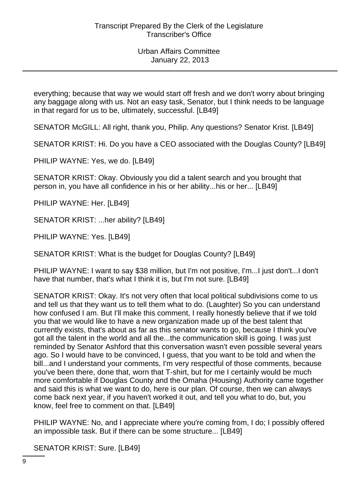everything; because that way we would start off fresh and we don't worry about bringing any baggage along with us. Not an easy task, Senator, but I think needs to be language in that regard for us to be, ultimately, successful. [LB49]

SENATOR McGILL: All right, thank you, Philip. Any questions? Senator Krist. [LB49]

SENATOR KRIST: Hi. Do you have a CEO associated with the Douglas County? [LB49]

PHILIP WAYNE: Yes, we do. [LB49]

SENATOR KRIST: Okay. Obviously you did a talent search and you brought that person in, you have all confidence in his or her ability...his or her... [LB49]

PHILIP WAYNE: Her. [LB49]

SENATOR KRIST: ...her ability? [LB49]

PHILIP WAYNE: Yes. [LB49]

SENATOR KRIST: What is the budget for Douglas County? [LB49]

PHILIP WAYNE: I want to say \$38 million, but I'm not positive, I'm...I just don't...I don't have that number, that's what I think it is, but I'm not sure. [LB49]

SENATOR KRIST: Okay. It's not very often that local political subdivisions come to us and tell us that they want us to tell them what to do. (Laughter) So you can understand how confused I am. But I'll make this comment, I really honestly believe that if we told you that we would like to have a new organization made up of the best talent that currently exists, that's about as far as this senator wants to go, because I think you've got all the talent in the world and all the...the communication skill is going. I was just reminded by Senator Ashford that this conversation wasn't even possible several years ago. So I would have to be convinced, I guess, that you want to be told and when the bill...and I understand your comments, I'm very respectful of those comments, because you've been there, done that, worn that T-shirt, but for me I certainly would be much more comfortable if Douglas County and the Omaha (Housing) Authority came together and said this is what we want to do, here is our plan. Of course, then we can always come back next year, if you haven't worked it out, and tell you what to do, but, you know, feel free to comment on that. [LB49]

PHILIP WAYNE: No, and I appreciate where you're coming from, I do; I possibly offered an impossible task. But if there can be some structure... [LB49]

SENATOR KRIST: Sure. [LB49]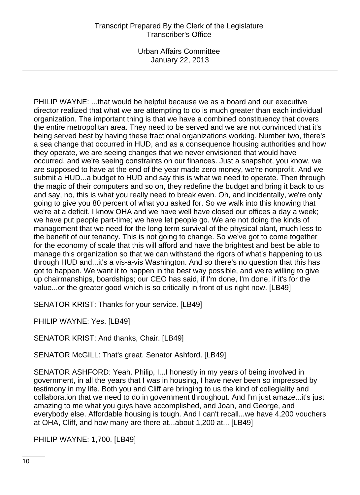Urban Affairs Committee January 22, 2013

PHILIP WAYNE: ...that would be helpful because we as a board and our executive director realized that what we are attempting to do is much greater than each individual organization. The important thing is that we have a combined constituency that covers the entire metropolitan area. They need to be served and we are not convinced that it's being served best by having these fractional organizations working. Number two, there's a sea change that occurred in HUD, and as a consequence housing authorities and how they operate, we are seeing changes that we never envisioned that would have occurred, and we're seeing constraints on our finances. Just a snapshot, you know, we are supposed to have at the end of the year made zero money, we're nonprofit. And we submit a HUD...a budget to HUD and say this is what we need to operate. Then through the magic of their computers and so on, they redefine the budget and bring it back to us and say, no, this is what you really need to break even. Oh, and incidentally, we're only going to give you 80 percent of what you asked for. So we walk into this knowing that we're at a deficit. I know OHA and we have well have closed our offices a day a week; we have put people part-time; we have let people go. We are not doing the kinds of management that we need for the long-term survival of the physical plant, much less to the benefit of our tenancy. This is not going to change. So we've got to come together for the economy of scale that this will afford and have the brightest and best be able to manage this organization so that we can withstand the rigors of what's happening to us through HUD and...it's a vis-a-vis Washington. And so there's no question that this has got to happen. We want it to happen in the best way possible, and we're willing to give up chairmanships, boardships; our CEO has said, if I'm done, I'm done, if it's for the value...or the greater good which is so critically in front of us right now. [LB49]

SENATOR KRIST: Thanks for your service. [LB49]

PHILIP WAYNE: Yes. [LB49]

SENATOR KRIST: And thanks, Chair. [LB49]

SENATOR McGILL: That's great. Senator Ashford. [LB49]

SENATOR ASHFORD: Yeah. Philip, I...I honestly in my years of being involved in government, in all the years that I was in housing, I have never been so impressed by testimony in my life. Both you and Cliff are bringing to us the kind of collegiality and collaboration that we need to do in government throughout. And I'm just amaze...it's just amazing to me what you guys have accomplished, and Joan, and George, and everybody else. Affordable housing is tough. And I can't recall...we have 4,200 vouchers at OHA, Cliff, and how many are there at...about 1,200 at... [LB49]

PHILIP WAYNE: 1,700. [LB49]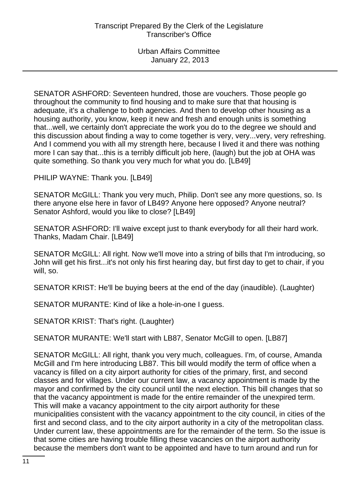SENATOR ASHFORD: Seventeen hundred, those are vouchers. Those people go throughout the community to find housing and to make sure that that housing is adequate, it's a challenge to both agencies. And then to develop other housing as a housing authority, you know, keep it new and fresh and enough units is something that...well, we certainly don't appreciate the work you do to the degree we should and this discussion about finding a way to come together is very, very...very, very refreshing. And I commend you with all my strength here, because I lived it and there was nothing more I can say that...this is a terribly difficult job here, (laugh) but the job at OHA was quite something. So thank you very much for what you do. [LB49]

PHILIP WAYNE: Thank you. [LB49]

SENATOR McGILL: Thank you very much, Philip. Don't see any more questions, so. Is there anyone else here in favor of LB49? Anyone here opposed? Anyone neutral? Senator Ashford, would you like to close? [LB49]

SENATOR ASHFORD: I'll waive except just to thank everybody for all their hard work. Thanks, Madam Chair. [LB49]

SENATOR McGILL: All right. Now we'll move into a string of bills that I'm introducing, so John will get his first...it's not only his first hearing day, but first day to get to chair, if you will, so.

SENATOR KRIST: He'll be buying beers at the end of the day (inaudible). (Laughter)

SENATOR MURANTE: Kind of like a hole-in-one I guess.

SENATOR KRIST: That's right. (Laughter)

SENATOR MURANTE: We'll start with LB87, Senator McGill to open. [LB87]

SENATOR McGILL: All right, thank you very much, colleagues. I'm, of course, Amanda McGill and I'm here introducing LB87. This bill would modify the term of office when a vacancy is filled on a city airport authority for cities of the primary, first, and second classes and for villages. Under our current law, a vacancy appointment is made by the mayor and confirmed by the city council until the next election. This bill changes that so that the vacancy appointment is made for the entire remainder of the unexpired term. This will make a vacancy appointment to the city airport authority for these municipalities consistent with the vacancy appointment to the city council, in cities of the first and second class, and to the city airport authority in a city of the metropolitan class. Under current law, these appointments are for the remainder of the term. So the issue is that some cities are having trouble filling these vacancies on the airport authority because the members don't want to be appointed and have to turn around and run for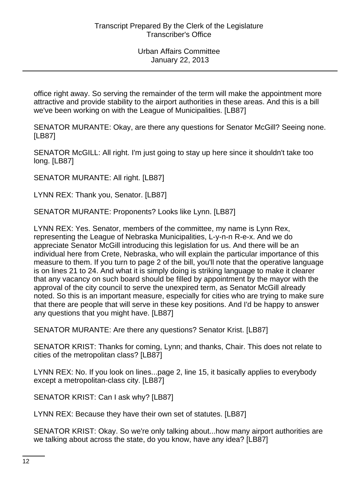office right away. So serving the remainder of the term will make the appointment more attractive and provide stability to the airport authorities in these areas. And this is a bill we've been working on with the League of Municipalities. [LB87]

SENATOR MURANTE: Okay, are there any questions for Senator McGill? Seeing none. [LB87]

SENATOR McGILL: All right. I'm just going to stay up here since it shouldn't take too long. [LB87]

SENATOR MURANTE: All right. [LB87]

LYNN REX: Thank you, Senator. [LB87]

SENATOR MURANTE: Proponents? Looks like Lynn. [LB87]

LYNN REX: Yes. Senator, members of the committee, my name is Lynn Rex, representing the League of Nebraska Municipalities, L-y-n-n R-e-x. And we do appreciate Senator McGill introducing this legislation for us. And there will be an individual here from Crete, Nebraska, who will explain the particular importance of this measure to them. If you turn to page 2 of the bill, you'll note that the operative language is on lines 21 to 24. And what it is simply doing is striking language to make it clearer that any vacancy on such board should be filled by appointment by the mayor with the approval of the city council to serve the unexpired term, as Senator McGill already noted. So this is an important measure, especially for cities who are trying to make sure that there are people that will serve in these key positions. And I'd be happy to answer any questions that you might have. [LB87]

SENATOR MURANTE: Are there any questions? Senator Krist. [LB87]

SENATOR KRIST: Thanks for coming, Lynn; and thanks, Chair. This does not relate to cities of the metropolitan class? [LB87]

LYNN REX: No. If you look on lines...page 2, line 15, it basically applies to everybody except a metropolitan-class city. [LB87]

SENATOR KRIST: Can I ask why? [LB87]

LYNN REX: Because they have their own set of statutes. [LB87]

SENATOR KRIST: Okay. So we're only talking about...how many airport authorities are we talking about across the state, do you know, have any idea? [LB87]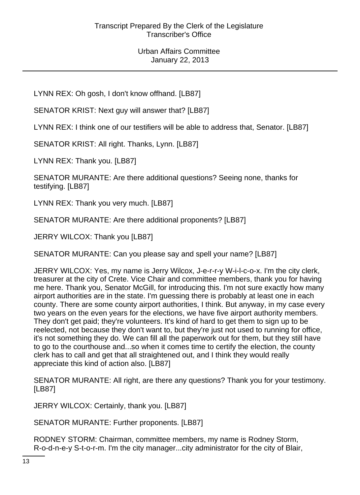LYNN REX: Oh gosh, I don't know offhand. [LB87]

SENATOR KRIST: Next guy will answer that? [LB87]

LYNN REX: I think one of our testifiers will be able to address that, Senator. [LB87]

SENATOR KRIST: All right. Thanks, Lynn. [LB87]

LYNN REX: Thank you. [LB87]

SENATOR MURANTE: Are there additional questions? Seeing none, thanks for testifying. [LB87]

LYNN REX: Thank you very much. [LB87]

SENATOR MURANTE: Are there additional proponents? [LB87]

JERRY WILCOX: Thank you [LB87]

SENATOR MURANTE: Can you please say and spell your name? [LB87]

JERRY WILCOX: Yes, my name is Jerry Wilcox, J-e-r-r-y W-i-l-c-o-x. I'm the city clerk, treasurer at the city of Crete. Vice Chair and committee members, thank you for having me here. Thank you, Senator McGill, for introducing this. I'm not sure exactly how many airport authorities are in the state. I'm guessing there is probably at least one in each county. There are some county airport authorities, I think. But anyway, in my case every two years on the even years for the elections, we have five airport authority members. They don't get paid; they're volunteers. It's kind of hard to get them to sign up to be reelected, not because they don't want to, but they're just not used to running for office, it's not something they do. We can fill all the paperwork out for them, but they still have to go to the courthouse and...so when it comes time to certify the election, the county clerk has to call and get that all straightened out, and I think they would really appreciate this kind of action also. [LB87]

SENATOR MURANTE: All right, are there any questions? Thank you for your testimony. [LB87]

JERRY WILCOX: Certainly, thank you. [LB87]

SENATOR MURANTE: Further proponents. [LB87]

RODNEY STORM: Chairman, committee members, my name is Rodney Storm, R-o-d-n-e-y S-t-o-r-m. I'm the city manager...city administrator for the city of Blair,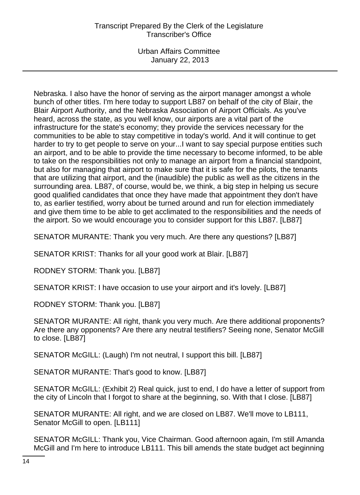Urban Affairs Committee January 22, 2013

Nebraska. I also have the honor of serving as the airport manager amongst a whole bunch of other titles. I'm here today to support LB87 on behalf of the city of Blair, the Blair Airport Authority, and the Nebraska Association of Airport Officials. As you've heard, across the state, as you well know, our airports are a vital part of the infrastructure for the state's economy; they provide the services necessary for the communities to be able to stay competitive in today's world. And it will continue to get harder to try to get people to serve on your...I want to say special purpose entities such an airport, and to be able to provide the time necessary to become informed, to be able to take on the responsibilities not only to manage an airport from a financial standpoint, but also for managing that airport to make sure that it is safe for the pilots, the tenants that are utilizing that airport, and the (inaudible) the public as well as the citizens in the surrounding area. LB87, of course, would be, we think, a big step in helping us secure good qualified candidates that once they have made that appointment they don't have to, as earlier testified, worry about be turned around and run for election immediately and give them time to be able to get acclimated to the responsibilities and the needs of the airport. So we would encourage you to consider support for this LB87. [LB87]

SENATOR MURANTE: Thank you very much. Are there any questions? [LB87]

SENATOR KRIST: Thanks for all your good work at Blair. [LB87]

RODNEY STORM: Thank you. [LB87]

SENATOR KRIST: I have occasion to use your airport and it's lovely. [LB87]

RODNEY STORM: Thank you. [LB87]

SENATOR MURANTE: All right, thank you very much. Are there additional proponents? Are there any opponents? Are there any neutral testifiers? Seeing none, Senator McGill to close. [LB87]

SENATOR McGILL: (Laugh) I'm not neutral, I support this bill. [LB87]

SENATOR MURANTE: That's good to know. [LB87]

SENATOR McGILL: (Exhibit 2) Real quick, just to end, I do have a letter of support from the city of Lincoln that I forgot to share at the beginning, so. With that I close. [LB87]

SENATOR MURANTE: All right, and we are closed on LB87. We'll move to LB111, Senator McGill to open. [LB111]

SENATOR McGILL: Thank you, Vice Chairman. Good afternoon again, I'm still Amanda McGill and I'm here to introduce LB111. This bill amends the state budget act beginning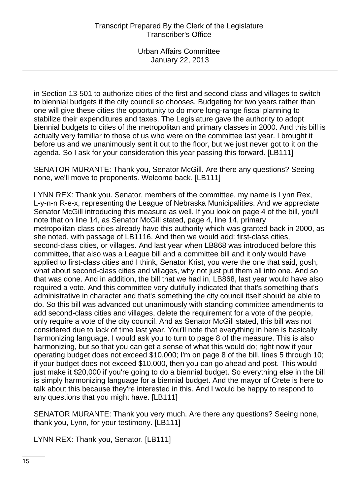in Section 13-501 to authorize cities of the first and second class and villages to switch to biennial budgets if the city council so chooses. Budgeting for two years rather than one will give these cities the opportunity to do more long-range fiscal planning to stabilize their expenditures and taxes. The Legislature gave the authority to adopt biennial budgets to cities of the metropolitan and primary classes in 2000. And this bill is actually very familiar to those of us who were on the committee last year. I brought it before us and we unanimously sent it out to the floor, but we just never got to it on the agenda. So I ask for your consideration this year passing this forward. [LB111]

SENATOR MURANTE: Thank you, Senator McGill. Are there any questions? Seeing none, we'll move to proponents. Welcome back. [LB111]

LYNN REX: Thank you. Senator, members of the committee, my name is Lynn Rex, L-y-n-n R-e-x, representing the League of Nebraska Municipalities. And we appreciate Senator McGill introducing this measure as well. If you look on page 4 of the bill, you'll note that on line 14, as Senator McGill stated, page 4, line 14, primary metropolitan-class cities already have this authority which was granted back in 2000, as she noted, with passage of LB1116. And then we would add: first-class cities, second-class cities, or villages. And last year when LB868 was introduced before this committee, that also was a League bill and a committee bill and it only would have applied to first-class cities and I think, Senator Krist, you were the one that said, gosh, what about second-class cities and villages, why not just put them all into one. And so that was done. And in addition, the bill that we had in, LB868, last year would have also required a vote. And this committee very dutifully indicated that that's something that's administrative in character and that's something the city council itself should be able to do. So this bill was advanced out unanimously with standing committee amendments to add second-class cities and villages, delete the requirement for a vote of the people, only require a vote of the city council. And as Senator McGill stated, this bill was not considered due to lack of time last year. You'll note that everything in here is basically harmonizing language. I would ask you to turn to page 8 of the measure. This is also harmonizing, but so that you can get a sense of what this would do; right now if your operating budget does not exceed \$10,000; I'm on page 8 of the bill, lines 5 through 10; if your budget does not exceed \$10,000, then you can go ahead and post. This would just make it \$20,000 if you're going to do a biennial budget. So everything else in the bill is simply harmonizing language for a biennial budget. And the mayor of Crete is here to talk about this because they're interested in this. And I would be happy to respond to any questions that you might have. [LB111]

SENATOR MURANTE: Thank you very much. Are there any questions? Seeing none, thank you, Lynn, for your testimony. [LB111]

LYNN REX: Thank you, Senator. [LB111]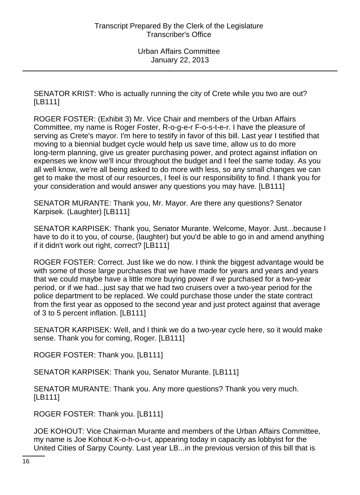SENATOR KRIST: Who is actually running the city of Crete while you two are out? [LB111]

ROGER FOSTER: (Exhibit 3) Mr. Vice Chair and members of the Urban Affairs Committee, my name is Roger Foster, R-o-g-e-r F-o-s-t-e-r. I have the pleasure of serving as Crete's mayor. I'm here to testify in favor of this bill. Last year I testified that moving to a biennial budget cycle would help us save time, allow us to do more long-term planning, give us greater purchasing power, and protect against inflation on expenses we know we'll incur throughout the budget and I feel the same today. As you all well know, we're all being asked to do more with less, so any small changes we can get to make the most of our resources, I feel is our responsibility to find. I thank you for your consideration and would answer any questions you may have. [LB111]

SENATOR MURANTE: Thank you, Mr. Mayor. Are there any questions? Senator Karpisek. (Laughter) [LB111]

SENATOR KARPISEK: Thank you, Senator Murante. Welcome, Mayor. Just...because I have to do it to you, of course, (laughter) but you'd be able to go in and amend anything if it didn't work out right, correct? [LB111]

ROGER FOSTER: Correct. Just like we do now. I think the biggest advantage would be with some of those large purchases that we have made for years and years and years that we could maybe have a little more buying power if we purchased for a two-year period, or if we had...just say that we had two cruisers over a two-year period for the police department to be replaced. We could purchase those under the state contract from the first year as opposed to the second year and just protect against that average of 3 to 5 percent inflation. [LB111]

SENATOR KARPISEK: Well, and I think we do a two-year cycle here, so it would make sense. Thank you for coming, Roger. [LB111]

ROGER FOSTER: Thank you. [LB111]

SENATOR KARPISEK: Thank you, Senator Murante. [LB111]

SENATOR MURANTE: Thank you. Any more questions? Thank you very much. [LB111]

ROGER FOSTER: Thank you. [LB111]

JOE KOHOUT: Vice Chairman Murante and members of the Urban Affairs Committee, my name is Joe Kohout K-o-h-o-u-t, appearing today in capacity as lobbyist for the United Cities of Sarpy County. Last year LB...in the previous version of this bill that is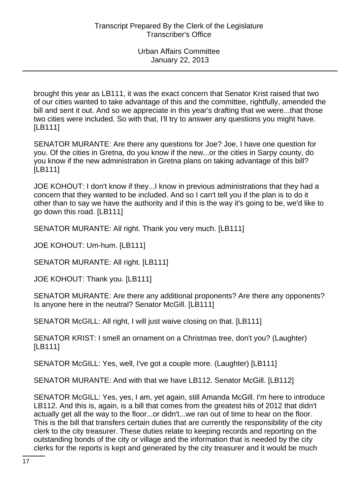brought this year as LB111, it was the exact concern that Senator Krist raised that two of our cities wanted to take advantage of this and the committee, rightfully, amended the bill and sent it out. And so we appreciate in this year's drafting that we were...that those two cities were included. So with that, I'll try to answer any questions you might have. [LB111]

SENATOR MURANTE: Are there any questions for Joe? Joe, I have one question for you. Of the cities in Gretna, do you know if the new...or the cities in Sarpy county, do you know if the new administration in Gretna plans on taking advantage of this bill? [LB111]

JOE KOHOUT: I don't know if they...I know in previous administrations that they had a concern that they wanted to be included. And so I can't tell you if the plan is to do it other than to say we have the authority and if this is the way it's going to be, we'd like to go down this road. [LB111]

SENATOR MURANTE: All right. Thank you very much. [LB111]

JOE KOHOUT: Um-hum. [LB111]

SENATOR MURANTE: All right. [LB111]

JOE KOHOUT: Thank you. [LB111]

SENATOR MURANTE: Are there any additional proponents? Are there any opponents? Is anyone here in the neutral? Senator McGill. [LB111]

SENATOR McGILL: All right, I will just waive closing on that. [LB111]

SENATOR KRIST: I smell an ornament on a Christmas tree, don't you? (Laughter) [LB111]

SENATOR McGILL: Yes, well, I've got a couple more. (Laughter) [LB111]

SENATOR MURANTE: And with that we have LB112. Senator McGill. [LB112]

SENATOR McGILL: Yes, yes, I am, yet again, still Amanda McGill. I'm here to introduce LB112. And this is, again, is a bill that comes from the greatest hits of 2012 that didn't actually get all the way to the floor...or didn't...we ran out of time to hear on the floor. This is the bill that transfers certain duties that are currently the responsibility of the city clerk to the city treasurer. These duties relate to keeping records and reporting on the outstanding bonds of the city or village and the information that is needed by the city clerks for the reports is kept and generated by the city treasurer and it would be much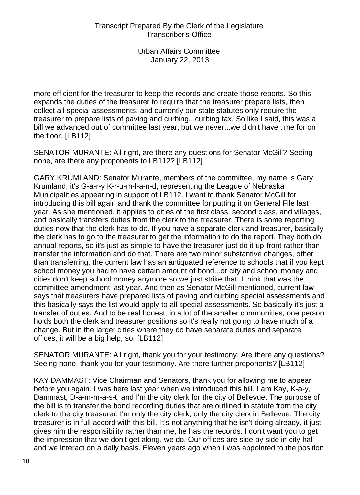more efficient for the treasurer to keep the records and create those reports. So this expands the duties of the treasurer to require that the treasurer prepare lists, then collect all special assessments, and currently our state statutes only require the treasurer to prepare lists of paving and curbing...curbing tax. So like I said, this was a bill we advanced out of committee last year, but we never...we didn't have time for on the floor. [LB112]

SENATOR MURANTE: All right, are there any questions for Senator McGill? Seeing none, are there any proponents to LB112? [LB112]

GARY KRUMLAND: Senator Murante, members of the committee, my name is Gary Krumland, it's G-a-r-y K-r-u-m-l-a-n-d, representing the League of Nebraska Municipalities appearing in support of LB112. I want to thank Senator McGill for introducing this bill again and thank the committee for putting it on General File last year. As she mentioned, it applies to cities of the first class, second class, and villages, and basically transfers duties from the clerk to the treasurer. There is some reporting duties now that the clerk has to do. If you have a separate clerk and treasurer, basically the clerk has to go to the treasurer to get the information to do the report. They both do annual reports, so it's just as simple to have the treasurer just do it up-front rather than transfer the information and do that. There are two minor substantive changes, other than transferring, the current law has an antiquated reference to schools that if you kept school money you had to have certain amount of bond...or city and school money and cities don't keep school money anymore so we just strike that. I think that was the committee amendment last year. And then as Senator McGill mentioned, current law says that treasurers have prepared lists of paving and curbing special assessments and this basically says the list would apply to all special assessments. So basically it's just a transfer of duties. And to be real honest, in a lot of the smaller communities, one person holds both the clerk and treasurer positions so it's really not going to have much of a change. But in the larger cities where they do have separate duties and separate offices, it will be a big help, so. [LB112]

SENATOR MURANTE: All right, thank you for your testimony. Are there any questions? Seeing none, thank you for your testimony. Are there further proponents? [LB112]

KAY DAMMAST: Vice Chairman and Senators, thank you for allowing me to appear before you again. I was here last year when we introduced this bill. I am Kay, K-a-y, Dammast, D-a-m-m-a-s-t, and I'm the city clerk for the city of Bellevue. The purpose of the bill is to transfer the bond recording duties that are outlined in statute from the city clerk to the city treasurer. I'm only the city clerk, only the city clerk in Bellevue. The city treasurer is in full accord with this bill. It's not anything that he isn't doing already, it just gives him the responsibility rather than me, he has the records. I don't want you to get the impression that we don't get along, we do. Our offices are side by side in city hall and we interact on a daily basis. Eleven years ago when I was appointed to the position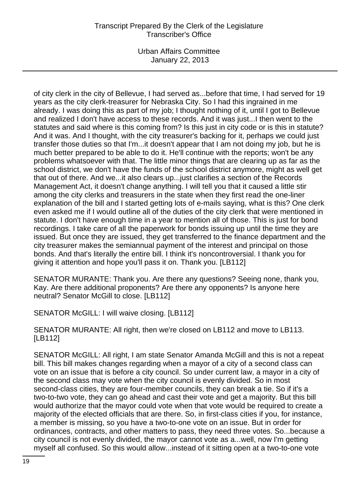Urban Affairs Committee January 22, 2013

of city clerk in the city of Bellevue, I had served as...before that time, I had served for 19 years as the city clerk-treasurer for Nebraska City. So I had this ingrained in me already. I was doing this as part of my job; I thought nothing of it, until I got to Bellevue and realized I don't have access to these records. And it was just...I then went to the statutes and said where is this coming from? Is this just in city code or is this in statute? And it was. And I thought, with the city treasurer's backing for it, perhaps we could just transfer those duties so that I'm...it doesn't appear that I am not doing my job, but he is much better prepared to be able to do it. He'll continue with the reports; won't be any problems whatsoever with that. The little minor things that are clearing up as far as the school district, we don't have the funds of the school district anymore, might as well get that out of there. And we...it also clears up...just clarifies a section of the Records Management Act, it doesn't change anything. I will tell you that it caused a little stir among the city clerks and treasurers in the state when they first read the one-liner explanation of the bill and I started getting lots of e-mails saying, what is this? One clerk even asked me if I would outline all of the duties of the city clerk that were mentioned in statute. I don't have enough time in a year to mention all of those. This is just for bond recordings. I take care of all the paperwork for bonds issuing up until the time they are issued. But once they are issued, they get transferred to the finance department and the city treasurer makes the semiannual payment of the interest and principal on those bonds. And that's literally the entire bill. I think it's noncontroversial. I thank you for giving it attention and hope you'll pass it on. Thank you. [LB112]

SENATOR MURANTE: Thank you. Are there any questions? Seeing none, thank you, Kay. Are there additional proponents? Are there any opponents? Is anyone here neutral? Senator McGill to close. [LB112]

SENATOR McGILL: I will waive closing. [LB112]

SENATOR MURANTE: All right, then we're closed on LB112 and move to LB113. [LB112]

SENATOR McGILL: All right, I am state Senator Amanda McGill and this is not a repeat bill. This bill makes changes regarding when a mayor of a city of a second class can vote on an issue that is before a city council. So under current law, a mayor in a city of the second class may vote when the city council is evenly divided. So in most second-class cities, they are four-member councils, they can break a tie. So if it's a two-to-two vote, they can go ahead and cast their vote and get a majority. But this bill would authorize that the mayor could vote when that vote would be required to create a majority of the elected officials that are there. So, in first-class cities if you, for instance, a member is missing, so you have a two-to-one vote on an issue. But in order for ordinances, contracts, and other matters to pass, they need three votes. So...because a city council is not evenly divided, the mayor cannot vote as a...well, now I'm getting myself all confused. So this would allow...instead of it sitting open at a two-to-one vote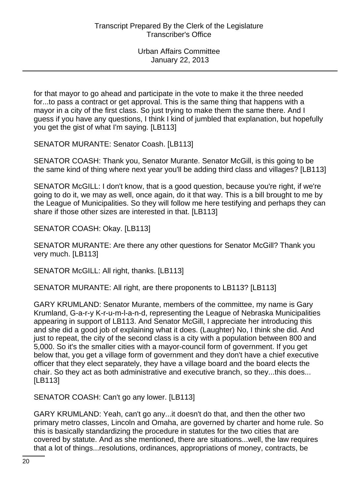for that mayor to go ahead and participate in the vote to make it the three needed for...to pass a contract or get approval. This is the same thing that happens with a mayor in a city of the first class. So just trying to make them the same there. And I guess if you have any questions, I think I kind of jumbled that explanation, but hopefully you get the gist of what I'm saying. [LB113]

SENATOR MURANTE: Senator Coash. [LB113]

SENATOR COASH: Thank you, Senator Murante. Senator McGill, is this going to be the same kind of thing where next year you'll be adding third class and villages? [LB113]

SENATOR McGILL: I don't know, that is a good question, because you're right, if we're going to do it, we may as well, once again, do it that way. This is a bill brought to me by the League of Municipalities. So they will follow me here testifying and perhaps they can share if those other sizes are interested in that. [LB113]

SENATOR COASH: Okay. [LB113]

SENATOR MURANTE: Are there any other questions for Senator McGill? Thank you very much. [LB113]

SENATOR McGILL: All right, thanks. [LB113]

SENATOR MURANTE: All right, are there proponents to LB113? [LB113]

GARY KRUMLAND: Senator Murante, members of the committee, my name is Gary Krumland, G-a-r-y K-r-u-m-l-a-n-d, representing the League of Nebraska Municipalities appearing in support of LB113. And Senator McGill, I appreciate her introducing this and she did a good job of explaining what it does. (Laughter) No, I think she did. And just to repeat, the city of the second class is a city with a population between 800 and 5,000. So it's the smaller cities with a mayor-council form of government. If you get below that, you get a village form of government and they don't have a chief executive officer that they elect separately, they have a village board and the board elects the chair. So they act as both administrative and executive branch, so they...this does... [LB113]

SENATOR COASH: Can't go any lower. [LB113]

GARY KRUMLAND: Yeah, can't go any...it doesn't do that, and then the other two primary metro classes, Lincoln and Omaha, are governed by charter and home rule. So this is basically standardizing the procedure in statutes for the two cities that are covered by statute. And as she mentioned, there are situations...well, the law requires that a lot of things...resolutions, ordinances, appropriations of money, contracts, be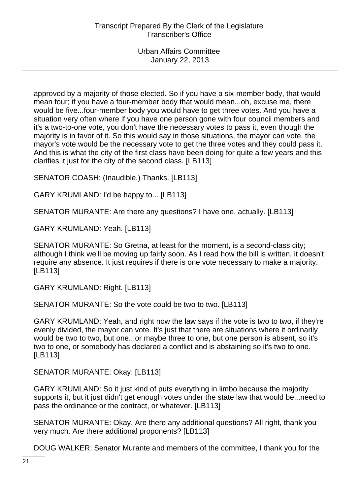approved by a majority of those elected. So if you have a six-member body, that would mean four; if you have a four-member body that would mean...oh, excuse me, there would be five...four-member body you would have to get three votes. And you have a situation very often where if you have one person gone with four council members and it's a two-to-one vote, you don't have the necessary votes to pass it, even though the majority is in favor of it. So this would say in those situations, the mayor can vote, the mayor's vote would be the necessary vote to get the three votes and they could pass it. And this is what the city of the first class have been doing for quite a few years and this clarifies it just for the city of the second class. [LB113]

SENATOR COASH: (Inaudible.) Thanks. [LB113]

GARY KRUMLAND: I'd be happy to... [LB113]

SENATOR MURANTE: Are there any questions? I have one, actually. [LB113]

GARY KRUMLAND: Yeah. [LB113]

SENATOR MURANTE: So Gretna, at least for the moment, is a second-class city; although I think we'll be moving up fairly soon. As I read how the bill is written, it doesn't require any absence. It just requires if there is one vote necessary to make a majority. [LB113]

GARY KRUMLAND: Right. [LB113]

SENATOR MURANTE: So the vote could be two to two. [LB113]

GARY KRUMLAND: Yeah, and right now the law says if the vote is two to two, if they're evenly divided, the mayor can vote. It's just that there are situations where it ordinarily would be two to two, but one...or maybe three to one, but one person is absent, so it's two to one, or somebody has declared a conflict and is abstaining so it's two to one. [LB113]

SENATOR MURANTE: Okay. [LB113]

GARY KRUMLAND: So it just kind of puts everything in limbo because the majority supports it, but it just didn't get enough votes under the state law that would be...need to pass the ordinance or the contract, or whatever. [LB113]

SENATOR MURANTE: Okay. Are there any additional questions? All right, thank you very much. Are there additional proponents? [LB113]

DOUG WALKER: Senator Murante and members of the committee, I thank you for the